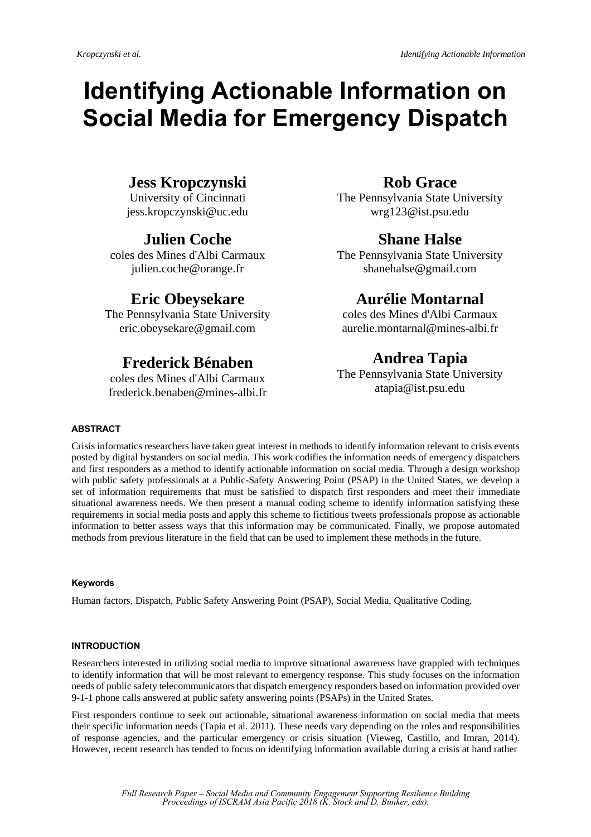# **Identifying Actionable Information on Social Media for Emergency Dispatch**

## **Jess Kropczynski**

University of Cincinnati jess.kropczynski@uc.edu

## **Julien Coche**

coles des Mines d'Albi Carmaux julien.coche@orange.fr

## **Eric Obeysekare**

The Pennsylvania State University eric.obeysekare@gmail.com

## **Frederick Bénaben**

coles des Mines d'Albi Carmaux frederick.benaben@mines-albi.fr

## **Rob Grace**

The Pennsylvania State University wrg123@ist.psu.edu

## **Shane Halse**

The Pennsylvania State University shanehalse@gmail.com

## **Aurélie Montarnal**

coles des Mines d'Albi Carmaux aurelie.montarnal@mines-albi.fr

## **Andrea Tapia**

The Pennsylvania State University atapia@ist.psu.edu

### **ABSTRACT**

Crisis informatics researchers have taken great interest in methods to identify information relevant to crisis events posted by digital bystanders on social media. This work codifies the information needs of emergency dispatchers and first responders as a method to identify actionable information on social media. Through a design workshop with public safety professionals at a Public-Safety Answering Point (PSAP) in the United States, we develop a set of information requirements that must be satisfied to dispatch first responders and meet their immediate situational awareness needs. We then present a manual coding scheme to identify information satisfying these requirements in social media posts and apply this scheme to fictitious tweets professionals propose as actionable information to better assess ways that this information may be communicated. Finally, we propose automated methods from previous literature in the field that can be used to implement these methods in the future.

### **Keywords**

Human factors, Dispatch, Public Safety Answering Point (PSAP), Social Media, Qualitative Coding.

### **INTRODUCTION**

Researchers interested in utilizing social media to improve situational awareness have grappled with techniques to identify information that will be most relevant to emergency response. This study focuses on the information needs of public safety telecommunicators that dispatch emergency responders based on information provided over 9-1-1 phone calls answered at public safety answering points (PSAPs) in the United States.

First responders continue to seek out actionable, situational awareness information on social media that meets their specific information needs (Tapia et al. 2011). These needs vary depending on the roles and responsibilities of response agencies, and the particular emergency or crisis situation (Vieweg, Castillo, and Imran, 2014). However, recent research has tended to focus on identifying information available during a crisis at hand rather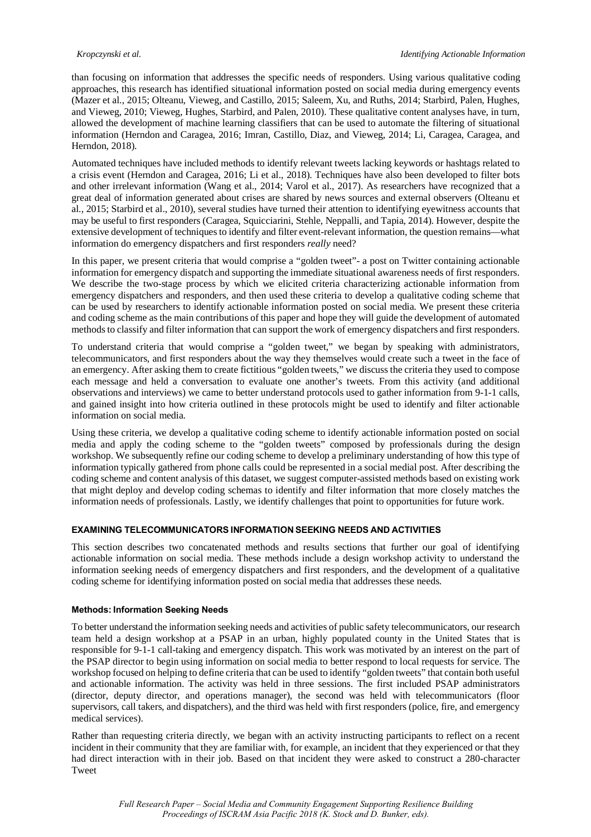than focusing on information that addresses the specific needs of responders. Using various qualitative coding approaches, this research has identified situational information posted on social media during emergency events (Mazer et al., 2015; Olteanu, Vieweg, and Castillo, 2015; Saleem, Xu, and Ruths, 2014; Starbird, Palen, Hughes, and Vieweg, 2010; Vieweg, Hughes, Starbird, and Palen, 2010). These qualitative content analyses have, in turn, allowed the development of machine learning classifiers that can be used to automate the filtering of situational information (Herndon and Caragea, 2016; Imran, Castillo, Diaz, and Vieweg, 2014; Li, Caragea, Caragea, and Herndon, 2018).

Automated techniques have included methods to identify relevant tweets lacking keywords or hashtags related to a crisis event (Herndon and Caragea, 2016; Li et al., 2018). Techniques have also been developed to filter bots and other irrelevant information (Wang et al., 2014; Varol et al., 2017). As researchers have recognized that a great deal of information generated about crises are shared by news sources and external observers (Olteanu et al., 2015; Starbird et al., 2010), several studies have turned their attention to identifying eyewitness accounts that may be useful to first responders (Caragea, Squicciarini, Stehle, Neppalli, and Tapia, 2014). However, despite the extensive development of techniques to identify and filter event-relevant information, the question remains—what information do emergency dispatchers and first responders *really* need?

In this paper, we present criteria that would comprise a "golden tweet"- a post on Twitter containing actionable information for emergency dispatch and supporting the immediate situational awareness needs of first responders. We describe the two-stage process by which we elicited criteria characterizing actionable information from emergency dispatchers and responders, and then used these criteria to develop a qualitative coding scheme that can be used by researchers to identify actionable information posted on social media. We present these criteria and coding scheme as the main contributions of this paper and hope they will guide the development of automated methods to classify and filter information that can support the work of emergency dispatchers and first responders.

To understand criteria that would comprise a "golden tweet," we began by speaking with administrators, telecommunicators, and first responders about the way they themselves would create such a tweet in the face of an emergency. After asking them to create fictitious "golden tweets," we discuss the criteria they used to compose each message and held a conversation to evaluate one another's tweets. From this activity (and additional observations and interviews) we came to better understand protocols used to gather information from 9-1-1 calls, and gained insight into how criteria outlined in these protocols might be used to identify and filter actionable information on social media.

Using these criteria, we develop a qualitative coding scheme to identify actionable information posted on social media and apply the coding scheme to the "golden tweets" composed by professionals during the design workshop. We subsequently refine our coding scheme to develop a preliminary understanding of how this type of information typically gathered from phone calls could be represented in a social medial post. After describing the coding scheme and content analysis of this dataset, we suggest computer-assisted methods based on existing work that might deploy and develop coding schemas to identify and filter information that more closely matches the information needs of professionals. Lastly, we identify challenges that point to opportunities for future work.

#### **EXAMINING TELECOMMUNICATORS INFORMATION SEEKING NEEDS AND ACTIVITIES**

This section describes two concatenated methods and results sections that further our goal of identifying actionable information on social media. These methods include a design workshop activity to understand the information seeking needs of emergency dispatchers and first responders, and the development of a qualitative coding scheme for identifying information posted on social media that addresses these needs.

#### **Methods: Information Seeking Needs**

To better understand the information seeking needs and activities of public safety telecommunicators, our research team held a design workshop at a PSAP in an urban, highly populated county in the United States that is responsible for 9-1-1 call-taking and emergency dispatch. This work was motivated by an interest on the part of the PSAP director to begin using information on social media to better respond to local requests for service. The workshop focused on helping to define criteria that can be used to identify "golden tweets" that contain both useful and actionable information. The activity was held in three sessions. The first included PSAP administrators (director, deputy director, and operations manager), the second was held with telecommunicators (floor supervisors, call takers, and dispatchers), and the third was held with first responders (police, fire, and emergency medical services).

Rather than requesting criteria directly, we began with an activity instructing participants to reflect on a recent incident in their community that they are familiar with, for example, an incident that they experienced or that they had direct interaction with in their job. Based on that incident they were asked to construct a 280-character Tweet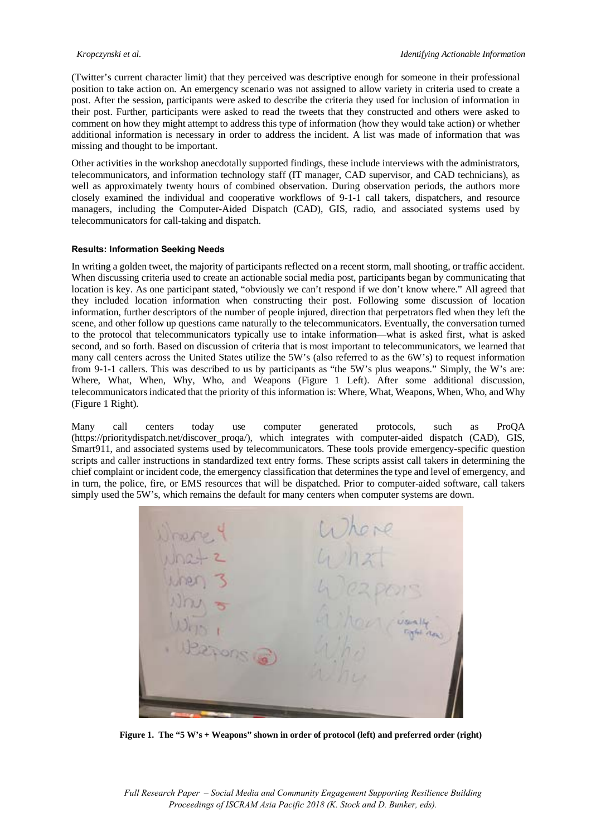(Twitter's current character limit) that they perceived was descriptive enough for someone in their professional position to take action on. An emergency scenario was not assigned to allow variety in criteria used to create a post. After the session, participants were asked to describe the criteria they used for inclusion of information in their post. Further, participants were asked to read the tweets that they constructed and others were asked to comment on how they might attempt to address this type of information (how they would take action) or whether additional information is necessary in order to address the incident. A list was made of information that was missing and thought to be important.

Other activities in the workshop anecdotally supported findings, these include interviews with the administrators, telecommunicators, and information technology staff (IT manager, CAD supervisor, and CAD technicians), as well as approximately twenty hours of combined observation. During observation periods, the authors more closely examined the individual and cooperative workflows of 9-1-1 call takers, dispatchers, and resource managers, including the Computer-Aided Dispatch (CAD), GIS, radio, and associated systems used by telecommunicators for call-taking and dispatch.

#### **Results: Information Seeking Needs**

In writing a golden tweet, the majority of participants reflected on a recent storm, mall shooting, or traffic accident. When discussing criteria used to create an actionable social media post, participants began by communicating that location is key. As one participant stated, "obviously we can't respond if we don't know where." All agreed that they included location information when constructing their post. Following some discussion of location information, further descriptors of the number of people injured, direction that perpetrators fled when they left the scene, and other follow up questions came naturally to the telecommunicators. Eventually, the conversation turned to the protocol that telecommunicators typically use to intake information—what is asked first, what is asked second, and so forth. Based on discussion of criteria that is most important to telecommunicators, we learned that many call centers across the United States utilize the 5W's (also referred to as the 6W's) to request information from 9-1-1 callers. This was described to us by participants as "the 5W's plus weapons." Simply, the W's are: Where, What, When, Why, Who, and Weapons (Figure 1 Left). After some additional discussion, telecommunicators indicated that the priority of this information is: Where, What, Weapons, When, Who, and Why (Figure 1 Right).

Many call centers today use computer generated protocols, such as ProQA (https://prioritydispatch.net/discover\_proqa/), which integrates with computer-aided dispatch (CAD), GIS, Smart911, and associated systems used by telecommunicators. These tools provide emergency-specific question scripts and caller instructions in standardized text entry forms. These scripts assist call takers in determining the chief complaint or incident code, the emergency classification that determines the type and level of emergency, and in turn, the police, fire, or EMS resources that will be dispatched. Prior to computer-aided software, call takers simply used the 5W's, which remains the default for many centers when computer systems are down.

Figure 1. The "5 W's + Weapons" shown in order of protocol (left) and preferred order (right)

*Full Research Paper – Social Media and Community Engagement Supporting Resilience Building Proceedings of ISCRAM Asia Pacific 2018 (K. Stock and D. Bunker, eds).*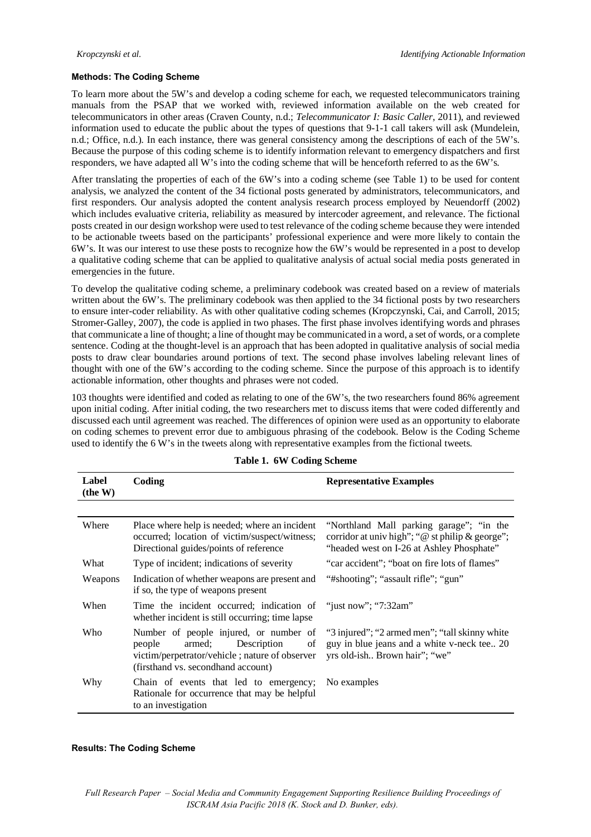#### **Methods: The Coding Scheme**

To learn more about the 5W's and develop a coding scheme for each, we requested telecommunicators training manuals from the PSAP that we worked with, reviewed information available on the web created for telecommunicators in other areas (Craven County, n.d.; *Telecommunicator I: Basic Caller*, 2011), and reviewed information used to educate the public about the types of questions that 9-1-1 call takers will ask (Mundelein, n.d.; Office, n.d.). In each instance, there was general consistency among the descriptions of each of the 5W's. Because the purpose of this coding scheme is to identify information relevant to emergency dispatchers and first responders, we have adapted all W's into the coding scheme that will be henceforth referred to as the 6W's.

After translating the properties of each of the 6W's into a coding scheme (see Table 1) to be used for content analysis, we analyzed the content of the 34 fictional posts generated by administrators, telecommunicators, and first responders. Our analysis adopted the content analysis research process employed by Neuendorff (2002) which includes evaluative criteria, reliability as measured by intercoder agreement, and relevance. The fictional posts created in our design workshop were used to test relevance of the coding scheme because they were intended to be actionable tweets based on the participants' professional experience and were more likely to contain the 6W's. It was our interest to use these posts to recognize how the 6W's would be represented in a post to develop a qualitative coding scheme that can be applied to qualitative analysis of actual social media posts generated in emergencies in the future.

To develop the qualitative coding scheme, a preliminary codebook was created based on a review of materials written about the 6W's. The preliminary codebook was then applied to the 34 fictional posts by two researchers to ensure inter-coder reliability. As with other qualitative coding schemes (Kropczynski, Cai, and Carroll, 2015; Stromer-Galley, 2007), the code is applied in two phases. The first phase involves identifying words and phrases that communicate a line of thought; a line of thought may be communicated in a word, a set of words, or a complete sentence. Coding at the thought-level is an approach that has been adopted in qualitative analysis of social media posts to draw clear boundaries around portions of text. The second phase involves labeling relevant lines of thought with one of the 6W's according to the coding scheme. Since the purpose of this approach is to identify actionable information, other thoughts and phrases were not coded.

103 thoughts were identified and coded as relating to one of the 6W's, the two researchers found 86% agreement upon initial coding. After initial coding, the two researchers met to discuss items that were coded differently and discussed each until agreement was reached. The differences of opinion were used as an opportunity to elaborate on coding schemes to prevent error due to ambiguous phrasing of the codebook. Below is the Coding Scheme used to identify the 6 W's in the tweets along with representative examples from the fictional tweets.

| Label<br>(the W) | Coding                                                                                                                                                                  | <b>Representative Examples</b>                                                                                                              |
|------------------|-------------------------------------------------------------------------------------------------------------------------------------------------------------------------|---------------------------------------------------------------------------------------------------------------------------------------------|
|                  |                                                                                                                                                                         |                                                                                                                                             |
| Where            | Place where help is needed; where an incident<br>occurred; location of victim/suspect/witness;<br>Directional guides/points of reference                                | "Northland Mall parking garage"; "in the<br>corridor at univ high"; " $@$ st philip & george";<br>"headed west on I-26 at Ashley Phosphate" |
| What             | Type of incident; indications of severity                                                                                                                               | "car accident"; "boat on fire lots of flames"                                                                                               |
| Weapons          | Indication of whether weapons are present and<br>if so, the type of weapons present                                                                                     | "#shooting"; "assault rifle"; "gun"                                                                                                         |
| When             | Time the incident occurred; indication of<br>whether incident is still occurring; time lapse                                                                            | "just now"; "7:32am"                                                                                                                        |
| Who              | Number of people injured, or number of<br>armed;<br>Description<br>people<br>οf<br>victim/perpetrator/vehicle; nature of observer<br>(firsthand vs. secondhand account) | "3 injured"; "2 armed men"; "tall skinny white"<br>guy in blue jeans and a white v-neck tee 20<br>yrs old-ish Brown hair"; "we"             |
| Why              | Chain of events that led to emergency;<br>Rationale for occurrence that may be helpful<br>to an investigation                                                           | No examples                                                                                                                                 |

#### **Table 1. 6W Coding Scheme**

### **Results: The Coding Scheme**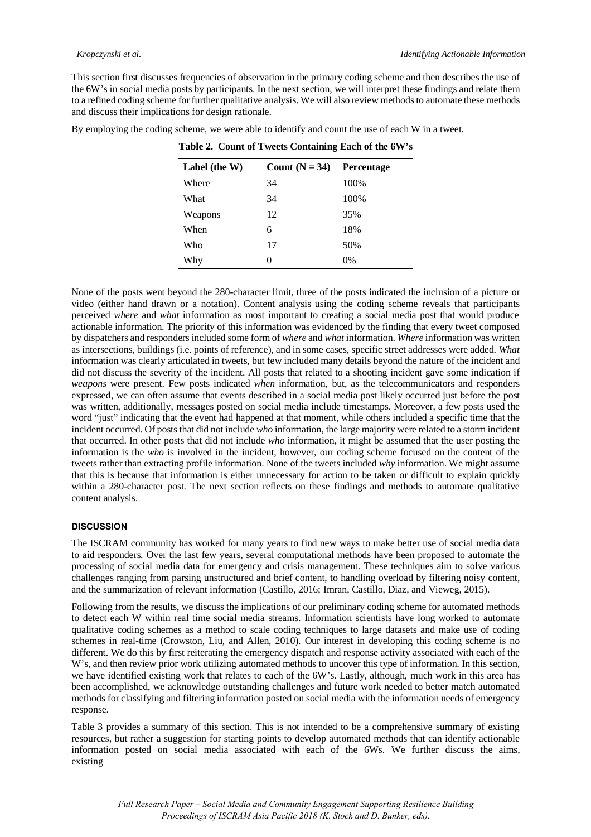This section first discusses frequencies of observation in the primary coding scheme and then describes the use of the 6W's in social media posts by participants. In the next section, we will interpret these findings and relate them to a refined coding scheme for further qualitative analysis. We will also review methods to automate these methods and discuss their implications for design rationale.

By employing the coding scheme, we were able to identify and count the use of each W in a tweet.

| Label (the W) | Count $(N = 34)$ | <b>Percentage</b> |
|---------------|------------------|-------------------|
| Where         | 34               | 100%              |
| What          | 34               | 100%              |
| Weapons       | 12               | 35%               |
| When          | 6                | 18%               |
| Who           | 17               | 50%               |
| Why           | $\theta$         | 0%                |

**Table 2. Count of Tweets Containing Each of the 6W's** 

None of the posts went beyond the 280-character limit, three of the posts indicated the inclusion of a picture or video (either hand drawn or a notation). Content analysis using the coding scheme reveals that participants perceived *where* and *what* information as most important to creating a social media post that would produce actionable information. The priority of this information was evidenced by the finding that every tweet composed by dispatchers and responders included some form of *where* and *what* information. *Where* information was written as intersections, buildings (i.e. points of reference), and in some cases, specific street addresses were added. *What* information was clearly articulated in tweets, but few included many details beyond the nature of the incident and did not discuss the severity of the incident. All posts that related to a shooting incident gave some indication if *weapons* were present. Few posts indicated *when* information, but, as the telecommunicators and responders expressed, we can often assume that events described in a social media post likely occurred just before the post was written, additionally, messages posted on social media include timestamps. Moreover, a few posts used the word "just" indicating that the event had happened at that moment, while others included a specific time that the incident occurred. Of posts that did not include *who* information, the large majority were related to a storm incident that occurred. In other posts that did not include *who* information, it might be assumed that the user posting the information is the *who* is involved in the incident, however, our coding scheme focused on the content of the tweets rather than extracting profile information. None of the tweets included *why* information. We might assume that this is because that information is either unnecessary for action to be taken or difficult to explain quickly within a 280-character post. The next section reflects on these findings and methods to automate qualitative content analysis.

#### **DISCUSSION**

The ISCRAM community has worked for many years to find new ways to make better use of social media data to aid responders. Over the last few years, several computational methods have been proposed to automate the processing of social media data for emergency and crisis management. These techniques aim to solve various challenges ranging from parsing unstructured and brief content, to handling overload by filtering noisy content, and the summarization of relevant information (Castillo, 2016; Imran, Castillo, Diaz, and Vieweg, 2015).

Following from the results, we discuss the implications of our preliminary coding scheme for automated methods to detect each W within real time social media streams. Information scientists have long worked to automate qualitative coding schemes as a method to scale coding techniques to large datasets and make use of coding schemes in real-time (Crowston, Liu, and Allen, 2010). Our interest in developing this coding scheme is no different. We do this by first reiterating the emergency dispatch and response activity associated with each of the W's, and then review prior work utilizing automated methods to uncover this type of information. In this section, we have identified existing work that relates to each of the 6W's. Lastly, although, much work in this area has been accomplished, we acknowledge outstanding challenges and future work needed to better match automated methods for classifying and filtering information posted on social media with the information needs of emergency response.

Table 3 provides a summary of this section. This is not intended to be a comprehensive summary of existing resources, but rather a suggestion for starting points to develop automated methods that can identify actionable information posted on social media associated with each of the 6Ws. We further discuss the aims, existing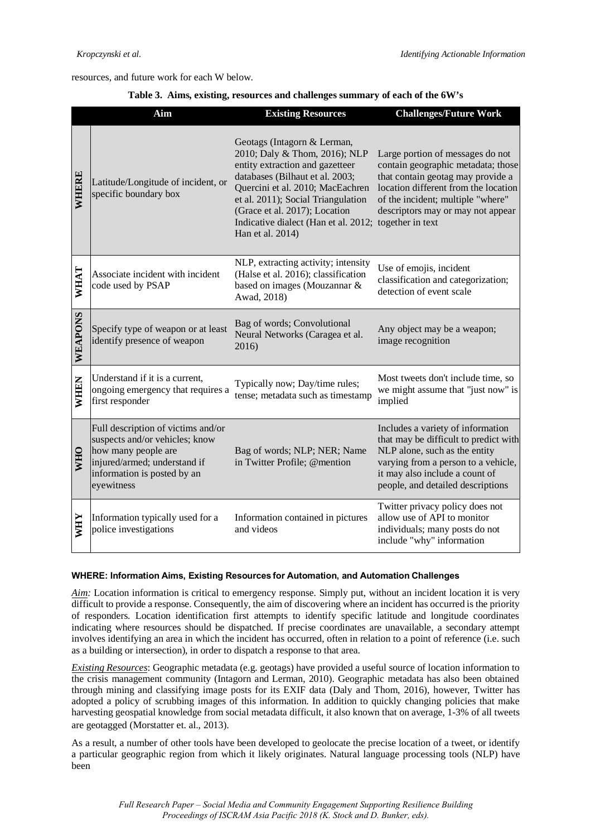resources, and future work for each W below.

|  |  |  | Table 3. Aims, existing, resources and challenges summary of each of the 6W's |
|--|--|--|-------------------------------------------------------------------------------|
|  |  |  |                                                                               |

|             | Aim                                                                                                                                                                      | <b>Existing Resources</b>                                                                                                                                                                                                                                                                                                  | <b>Challenges/Future Work</b>                                                                                                                                                                                                 |
|-------------|--------------------------------------------------------------------------------------------------------------------------------------------------------------------------|----------------------------------------------------------------------------------------------------------------------------------------------------------------------------------------------------------------------------------------------------------------------------------------------------------------------------|-------------------------------------------------------------------------------------------------------------------------------------------------------------------------------------------------------------------------------|
| WHERE       | Latitude/Longitude of incident, or<br>specific boundary box                                                                                                              | Geotags (Intagorn & Lerman,<br>2010; Daly & Thom, 2016); NLP<br>entity extraction and gazetteer<br>databases (Bilhaut et al. 2003;<br>Quercini et al. 2010; MacEachren<br>et al. 2011); Social Triangulation<br>(Grace et al. 2017); Location<br>Indicative dialect (Han et al. 2012; together in text<br>Han et al. 2014) | Large portion of messages do not<br>contain geographic metadata; those<br>that contain geotag may provide a<br>location different from the location<br>of the incident; multiple "where"<br>descriptors may or may not appear |
| WHAT        | Associate incident with incident<br>code used by PSAP                                                                                                                    | NLP, extracting activity; intensity<br>(Halse et al. 2016); classification<br>based on images (Mouzannar &<br>Awad, 2018)                                                                                                                                                                                                  | Use of emojis, incident<br>classification and categorization;<br>detection of event scale                                                                                                                                     |
| WEAPONS     | Specify type of weapon or at least<br>identify presence of weapon                                                                                                        | Bag of words; Convolutional<br>Neural Networks (Caragea et al.<br>2016)                                                                                                                                                                                                                                                    | Any object may be a weapon;<br>image recognition                                                                                                                                                                              |
| <b>WHEN</b> | Understand if it is a current,<br>ongoing emergency that requires a<br>first responder                                                                                   | Typically now; Day/time rules;<br>tense; metadata such as timestamp                                                                                                                                                                                                                                                        | Most tweets don't include time, so<br>we might assume that "just now" is<br>implied                                                                                                                                           |
| <b>WHO</b>  | Full description of victims and/or<br>suspects and/or vehicles; know<br>how many people are<br>injured/armed; understand if<br>information is posted by an<br>eyewitness | Bag of words; NLP; NER; Name<br>in Twitter Profile; @mention                                                                                                                                                                                                                                                               | Includes a variety of information<br>that may be difficult to predict with<br>NLP alone, such as the entity<br>varying from a person to a vehicle,<br>it may also include a count of<br>people, and detailed descriptions     |
| <b>MHY</b>  | Information typically used for a<br>police investigations                                                                                                                | Information contained in pictures<br>and videos                                                                                                                                                                                                                                                                            | Twitter privacy policy does not<br>allow use of API to monitor<br>individuals; many posts do not<br>include "why" information                                                                                                 |

#### **WHERE: Information Aims, Existing Resources for Automation, and Automation Challenges**

*Aim:* Location information is critical to emergency response. Simply put, without an incident location it is very difficult to provide a response. Consequently, the aim of discovering where an incident has occurred is the priority of responders. Location identification first attempts to identify specific latitude and longitude coordinates indicating where resources should be dispatched. If precise coordinates are unavailable, a secondary attempt involves identifying an area in which the incident has occurred, often in relation to a point of reference (i.e. such as a building or intersection), in order to dispatch a response to that area.

*Existing Resources*: Geographic metadata (e.g. geotags) have provided a useful source of location information to the crisis management community (Intagorn and Lerman, 2010). Geographic metadata has also been obtained through mining and classifying image posts for its EXIF data (Daly and Thom, 2016), however, Twitter has adopted a policy of scrubbing images of this information. In addition to quickly changing policies that make harvesting geospatial knowledge from social metadata difficult, it also known that on average, 1-3% of all tweets are geotagged (Morstatter et. al., 2013).

As a result, a number of other tools have been developed to geolocate the precise location of a tweet, or identify a particular geographic region from which it likely originates. Natural language processing tools (NLP) have been

> *Full Research Paper – Social Media and Community Engagement Supporting Resilience Building Proceedings of ISCRAM Asia Pacific 2018 (K. Stock and D. Bunker, eds).*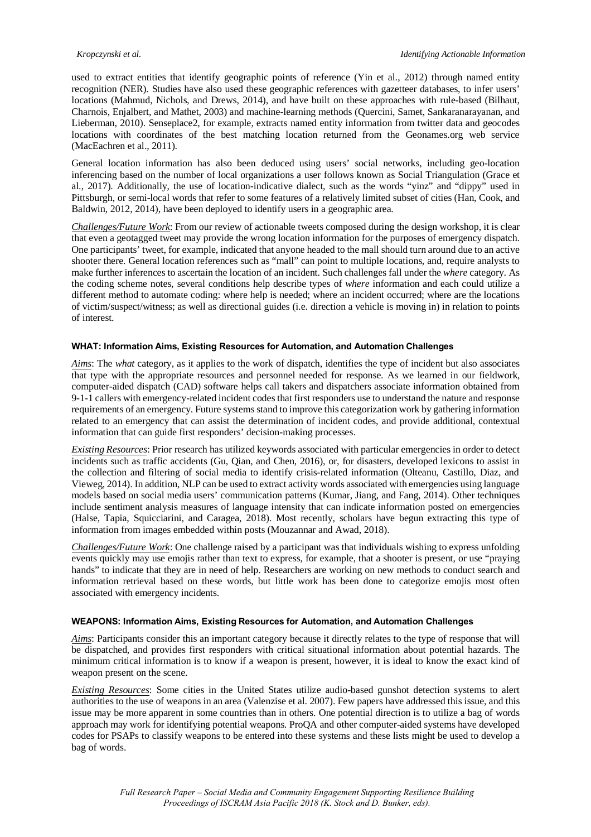used to extract entities that identify geographic points of reference (Yin et al., 2012) through named entity recognition (NER). Studies have also used these geographic references with gazetteer databases, to infer users' locations (Mahmud, Nichols, and Drews, 2014), and have built on these approaches with rule-based (Bilhaut, Charnois, Enjalbert, and Mathet, 2003) and machine-learning methods (Quercini, Samet, Sankaranarayanan, and Lieberman, 2010). Senseplace2, for example, extracts named entity information from twitter data and geocodes locations with coordinates of the best matching location returned from the Geonames.org web service (MacEachren et al., 2011).

General location information has also been deduced using users' social networks, including geo-location inferencing based on the number of local organizations a user follows known as Social Triangulation (Grace et al., 2017). Additionally, the use of location-indicative dialect, such as the words "yinz" and "dippy" used in Pittsburgh, or semi-local words that refer to some features of a relatively limited subset of cities (Han, Cook, and Baldwin, 2012, 2014), have been deployed to identify users in a geographic area.

*Challenges/Future Work*: From our review of actionable tweets composed during the design workshop, it is clear that even a geotagged tweet may provide the wrong location information for the purposes of emergency dispatch. One participants' tweet, for example, indicated that anyone headed to the mall should turn around due to an active shooter there. General location references such as "mall" can point to multiple locations, and, require analysts to make further inferences to ascertain the location of an incident. Such challenges fall under the *where* category. As the coding scheme notes, several conditions help describe types of *where* information and each could utilize a different method to automate coding: where help is needed; where an incident occurred; where are the locations of victim/suspect/witness; as well as directional guides (i.e. direction a vehicle is moving in) in relation to points of interest.

#### **WHAT: Information Aims, Existing Resources for Automation, and Automation Challenges**

*Aims*: The *what* category, as it applies to the work of dispatch, identifies the type of incident but also associates that type with the appropriate resources and personnel needed for response. As we learned in our fieldwork, computer-aided dispatch (CAD) software helps call takers and dispatchers associate information obtained from 9-1-1 callers with emergency-related incident codes that first responders use to understand the nature and response requirements of an emergency. Future systems stand to improve this categorization work by gathering information related to an emergency that can assist the determination of incident codes, and provide additional, contextual information that can guide first responders' decision-making processes.

*Existing Resources*: Prior research has utilized keywords associated with particular emergencies in order to detect incidents such as traffic accidents (Gu, Qian, and Chen, 2016), or, for disasters, developed lexicons to assist in the collection and filtering of social media to identify crisis-related information (Olteanu, Castillo, Diaz, and Vieweg, 2014). In addition, NLP can be used to extract activity words associated with emergencies using language models based on social media users' communication patterns (Kumar, Jiang, and Fang, 2014). Other techniques include sentiment analysis measures of language intensity that can indicate information posted on emergencies (Halse, Tapia, Squicciarini, and Caragea, 2018). Most recently, scholars have begun extracting this type of information from images embedded within posts (Mouzannar and Awad, 2018).

*Challenges/Future Work*: One challenge raised by a participant was that individuals wishing to express unfolding events quickly may use emojis rather than text to express, for example, that a shooter is present, or use "praying hands" to indicate that they are in need of help. Researchers are working on new methods to conduct search and information retrieval based on these words, but little work has been done to categorize emojis most often associated with emergency incidents.

#### **WEAPONS: Information Aims, Existing Resources for Automation, and Automation Challenges**

*Aims*: Participants consider this an important category because it directly relates to the type of response that will be dispatched, and provides first responders with critical situational information about potential hazards. The minimum critical information is to know if a weapon is present, however, it is ideal to know the exact kind of weapon present on the scene.

*Existing Resources*: Some cities in the United States utilize audio-based gunshot detection systems to alert authorities to the use of weapons in an area (Valenzise et al. 2007). Few papers have addressed this issue, and this issue may be more apparent in some countries than in others. One potential direction is to utilize a bag of words approach may work for identifying potential weapons. ProQA and other computer-aided systems have developed codes for PSAPs to classify weapons to be entered into these systems and these lists might be used to develop a bag of words.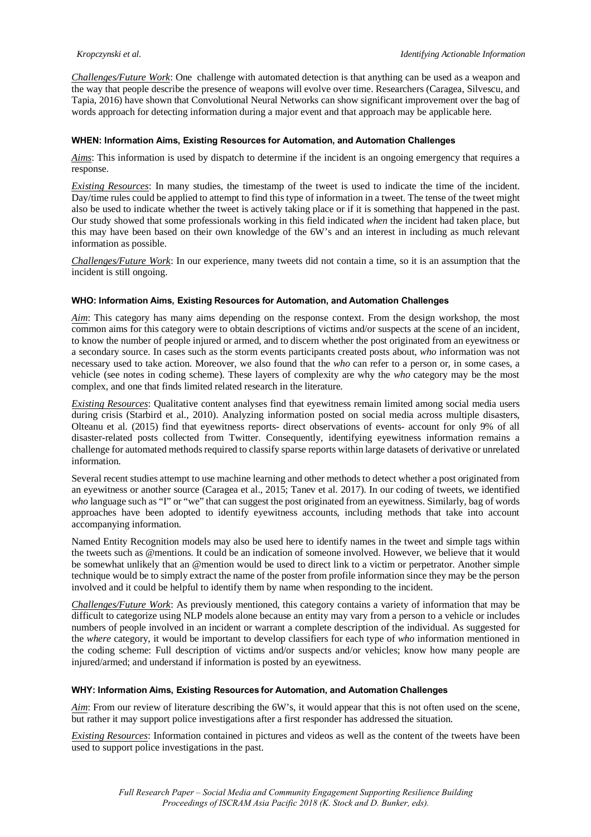*Challenges/Future Work*: One challenge with automated detection is that anything can be used as a weapon and the way that people describe the presence of weapons will evolve over time. Researchers (Caragea, Silvescu, and Tapia, 2016) have shown that Convolutional Neural Networks can show significant improvement over the bag of words approach for detecting information during a major event and that approach may be applicable here.

#### **WHEN: Information Aims, Existing Resources for Automation, and Automation Challenges**

*Aims*: This information is used by dispatch to determine if the incident is an ongoing emergency that requires a response.

*Existing Resources*: In many studies, the timestamp of the tweet is used to indicate the time of the incident. Day/time rules could be applied to attempt to find this type of information in a tweet. The tense of the tweet might also be used to indicate whether the tweet is actively taking place or if it is something that happened in the past. Our study showed that some professionals working in this field indicated *when* the incident had taken place, but this may have been based on their own knowledge of the 6W's and an interest in including as much relevant information as possible.

*Challenges/Future Work*: In our experience, many tweets did not contain a time, so it is an assumption that the incident is still ongoing.

#### **WHO: Information Aims, Existing Resources for Automation, and Automation Challenges**

*Aim*: This category has many aims depending on the response context. From the design workshop, the most common aims for this category were to obtain descriptions of victims and/or suspects at the scene of an incident, to know the number of people injured or armed, and to discern whether the post originated from an eyewitness or a secondary source. In cases such as the storm events participants created posts about, *who* information was not necessary used to take action. Moreover, we also found that the *who* can refer to a person or, in some cases, a vehicle (see notes in coding scheme). These layers of complexity are why the *who* category may be the most complex, and one that finds limited related research in the literature.

*Existing Resources*: Qualitative content analyses find that eyewitness remain limited among social media users during crisis (Starbird et al., 2010). Analyzing information posted on social media across multiple disasters, Olteanu et al. (2015) find that eyewitness reports- direct observations of events- account for only 9% of all disaster-related posts collected from Twitter. Consequently, identifying eyewitness information remains a challenge for automated methods required to classify sparse reports within large datasets of derivative or unrelated information.

Several recent studies attempt to use machine learning and other methods to detect whether a post originated from an eyewitness or another source (Caragea et al., 2015; Tanev et al. 2017). In our coding of tweets, we identified *who* language such as "I" or "we" that can suggest the post originated from an eyewitness. Similarly, bag of words approaches have been adopted to identify eyewitness accounts, including methods that take into account accompanying information.

Named Entity Recognition models may also be used here to identify names in the tweet and simple tags within the tweets such as @mentions. It could be an indication of someone involved. However, we believe that it would be somewhat unlikely that an @mention would be used to direct link to a victim or perpetrator. Another simple technique would be to simply extract the name of the poster from profile information since they may be the person involved and it could be helpful to identify them by name when responding to the incident.

*Challenges/Future Work*: As previously mentioned, this category contains a variety of information that may be difficult to categorize using NLP models alone because an entity may vary from a person to a vehicle or includes numbers of people involved in an incident or warrant a complete description of the individual. As suggested for the *where* category, it would be important to develop classifiers for each type of *who* information mentioned in the coding scheme: Full description of victims and/or suspects and/or vehicles; know how many people are injured/armed; and understand if information is posted by an eyewitness.

#### **WHY: Information Aims, Existing Resources for Automation, and Automation Challenges**

*Aim*: From our review of literature describing the 6W's, it would appear that this is not often used on the scene, but rather it may support police investigations after a first responder has addressed the situation.

*Existing Resources*: Information contained in pictures and videos as well as the content of the tweets have been used to support police investigations in the past.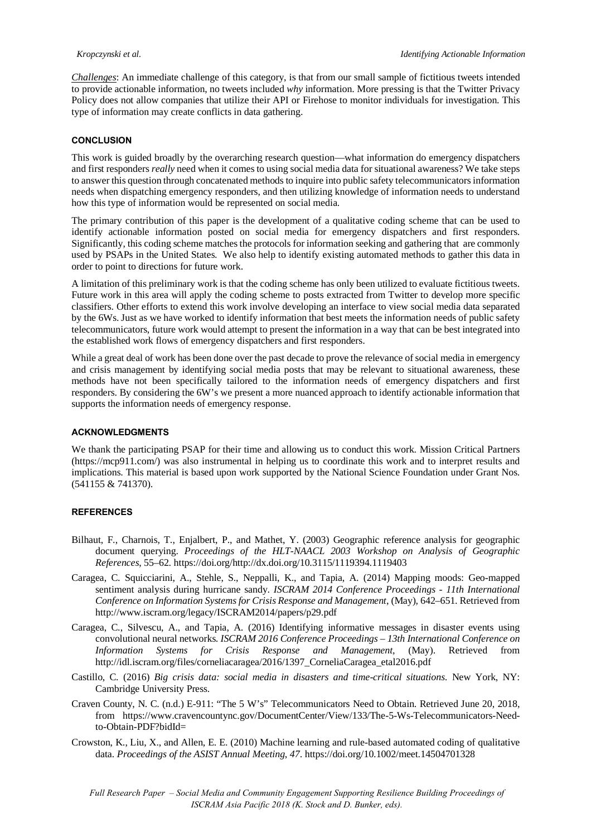*Challenges*: An immediate challenge of this category, is that from our small sample of fictitious tweets intended to provide actionable information, no tweets included *why* information. More pressing is that the Twitter Privacy Policy does not allow companies that utilize their API or Firehose to monitor individuals for investigation. This type of information may create conflicts in data gathering.

#### **CONCLUSION**

This work is guided broadly by the overarching research question—what information do emergency dispatchers and first responders *really* need when it comes to using social media data for situational awareness? We take steps to answer this question through concatenated methods to inquire into public safety telecommunicators information needs when dispatching emergency responders, and then utilizing knowledge of information needs to understand how this type of information would be represented on social media.

The primary contribution of this paper is the development of a qualitative coding scheme that can be used to identify actionable information posted on social media for emergency dispatchers and first responders. Significantly, this coding scheme matches the protocols for information seeking and gathering that are commonly used by PSAPs in the United States. We also help to identify existing automated methods to gather this data in order to point to directions for future work.

A limitation of this preliminary work is that the coding scheme has only been utilized to evaluate fictitious tweets. Future work in this area will apply the coding scheme to posts extracted from Twitter to develop more specific classifiers. Other efforts to extend this work involve developing an interface to view social media data separated by the 6Ws. Just as we have worked to identify information that best meets the information needs of public safety telecommunicators, future work would attempt to present the information in a way that can be best integrated into the established work flows of emergency dispatchers and first responders.

While a great deal of work has been done over the past decade to prove the relevance of social media in emergency and crisis management by identifying social media posts that may be relevant to situational awareness, these methods have not been specifically tailored to the information needs of emergency dispatchers and first responders. By considering the 6W's we present a more nuanced approach to identify actionable information that supports the information needs of emergency response.

#### **ACKNOWLEDGMENTS**

We thank the participating PSAP for their time and allowing us to conduct this work. Mission Critical Partners (https://mcp911.com/) was also instrumental in helping us to coordinate this work and to interpret results and implications. This material is based upon work supported by the National Science Foundation under Grant Nos. (541155 & 741370).

#### **REFERENCES**

- Bilhaut, F., Charnois, T., Enjalbert, P., and Mathet, Y. (2003) Geographic reference analysis for geographic document querying. *Proceedings of the HLT-NAACL 2003 Workshop on Analysis of Geographic References*, 55–62. https://doi.org/http://dx.doi.org/10.3115/1119394.1119403
- Caragea, C. Squicciarini, A., Stehle, S., Neppalli, K., and Tapia, A. (2014) Mapping moods: Geo-mapped sentiment analysis during hurricane sandy. *ISCRAM 2014 Conference Proceedings - 11th International Conference on Information Systems for Crisis Response and Management*, (May), 642–651. Retrieved from http://www.iscram.org/legacy/ISCRAM2014/papers/p29.pdf
- Caragea, C., Silvescu, A., and Tapia, A. (2016) Identifying informative messages in disaster events using convolutional neural networks. *ISCRAM 2016 Conference Proceedings – 13th International Conference on Information Systems for Crisis Response and Management*, (May). Retrieved from http://idl.iscram.org/files/corneliacaragea/2016/1397\_CorneliaCaragea\_etal2016.pdf
- Castillo, C. (2016) *Big crisis data: social media in disasters and time-critical situations*. New York, NY: Cambridge University Press.
- Craven County, N. C. (n.d.) E-911: "The 5 W's" Telecommunicators Need to Obtain. Retrieved June 20, 2018, from https://www.cravencountync.gov/DocumentCenter/View/133/The-5-Ws-Telecommunicators-Needto-Obtain-PDF?bidId=
- Crowston, K., Liu, X., and Allen, E. E. (2010) Machine learning and rule-based automated coding of qualitative data. *Proceedings of the ASIST Annual Meeting*, *47*. https://doi.org/10.1002/meet.14504701328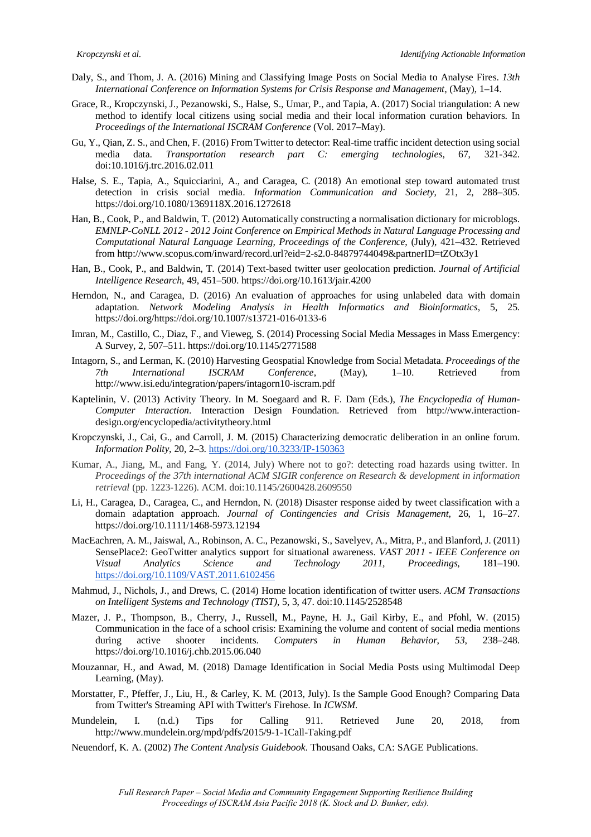- Daly, S., and Thom, J. A. (2016) Mining and Classifying Image Posts on Social Media to Analyse Fires. *13th International Conference on Information Systems for Crisis Response and Management*, (May), 1–14.
- Grace, R., Kropczynski, J., Pezanowski, S., Halse, S., Umar, P., and Tapia, A. (2017) Social triangulation: A new method to identify local citizens using social media and their local information curation behaviors. In *Proceedings of the International ISCRAM Conference* (Vol. 2017–May).
- Gu, Y., Qian, Z. S., and Chen, F. (2016) From Twitter to detector: Real-time traffic incident detection using social media data. *Transportation research part C: emerging technologies*, 67, 321-342. doi:10.1016/j.trc.2016.02.011
- Halse, S. E., Tapia, A., Squicciarini, A., and Caragea, C. (2018) An emotional step toward automated trust detection in crisis social media. *Information Communication and Society*, 21, 2, 288–305. https://doi.org/10.1080/1369118X.2016.1272618
- Han, B., Cook, P., and Baldwin, T. (2012) Automatically constructing a normalisation dictionary for microblogs. *EMNLP-CoNLL 2012 - 2012 Joint Conference on Empirical Methods in Natural Language Processing and Computational Natural Language Learning, Proceedings of the Conference*, (July), 421–432. Retrieved from http://www.scopus.com/inward/record.url?eid=2-s2.0-84879744049&partnerID=tZOtx3y1
- Han, B., Cook, P., and Baldwin, T. (2014) Text-based twitter user geolocation prediction. *Journal of Artificial Intelligence Research*, 49, 451–500. https://doi.org/10.1613/jair.4200
- Herndon, N., and Caragea, D. (2016) An evaluation of approaches for using unlabeled data with domain adaptation. *Network Modeling Analysis in Health Informatics and Bioinformatics*, 5, 25. https://doi.org/https://doi.org/10.1007/s13721-016-0133-6
- Imran, M., Castillo, C., Diaz, F., and Vieweg, S. (2014) Processing Social Media Messages in Mass Emergency: A Survey, 2, 507–511. https://doi.org/10.1145/2771588
- Intagorn, S., and Lerman, K. (2010) Harvesting Geospatial Knowledge from Social Metadata. *Proceedings of the 7th International ISCRAM Conference*, (May), 1–10. Retrieved from http://www.isi.edu/integration/papers/intagorn10-iscram.pdf
- Kaptelinin, V. (2013) Activity Theory. In M. Soegaard and R. F. Dam (Eds.), *The Encyclopedia of Human-Computer Interaction*. Interaction Design Foundation. Retrieved from http://www.interactiondesign.org/encyclopedia/activitytheory.html
- Kropczynski, J., Cai, G., and Carroll, J. M. (2015) Characterizing democratic deliberation in an online forum. *Information Polity*, 20, 2–3. https://doi.org/10.3233/IP-150363
- Kumar, A., Jiang, M., and Fang, Y. (2014, July) Where not to go?: detecting road hazards using twitter. In *Proceedings of the 37th international ACM SIGIR conference on Research & development in information retrieval* (pp. 1223-1226). ACM. doi:10.1145/2600428.2609550
- Li, H., Caragea, D., Caragea, C., and Herndon, N. (2018) Disaster response aided by tweet classification with a domain adaptation approach. *Journal of Contingencies and Crisis Management*, 26, 1, 16–27. https://doi.org/10.1111/1468-5973.12194
- MacEachren, A. M., Jaiswal, A., Robinson, A. C., Pezanowski, S., Savelyev, A., Mitra, P., and Blanford, J. (2011) SensePlace2: GeoTwitter analytics support for situational awareness. *VAST 2011 - IEEE Conference on Visual Analytics Science and Technology 2011, Proceedings*, 181–190. https://doi.org/10.1109/VAST.2011.6102456
- Mahmud, J., Nichols, J., and Drews, C. (2014) Home location identification of twitter users. *ACM Transactions on Intelligent Systems and Technology (TIST)*, 5, 3, 47. doi:10.1145/2528548
- Mazer, J. P., Thompson, B., Cherry, J., Russell, M., Payne, H. J., Gail Kirby, E., and Pfohl, W. (2015) Communication in the face of a school crisis: Examining the volume and content of social media mentions during active shooter incidents. *Computers in Human Behavior*, *53*, 238–248. https://doi.org/10.1016/j.chb.2015.06.040
- Mouzannar, H., and Awad, M. (2018) Damage Identification in Social Media Posts using Multimodal Deep Learning, (May).
- Morstatter, F., Pfeffer, J., Liu, H., & Carley, K. M. (2013, July). Is the Sample Good Enough? Comparing Data from Twitter's Streaming API with Twitter's Firehose. In *ICWSM.*
- Mundelein, I. (n.d.) Tips for Calling 911. Retrieved June 20, 2018, from http://www.mundelein.org/mpd/pdfs/2015/9-1-1Call-Taking.pdf
- Neuendorf, K. A. (2002) *The Content Analysis Guidebook*. Thousand Oaks, CA: SAGE Publications.